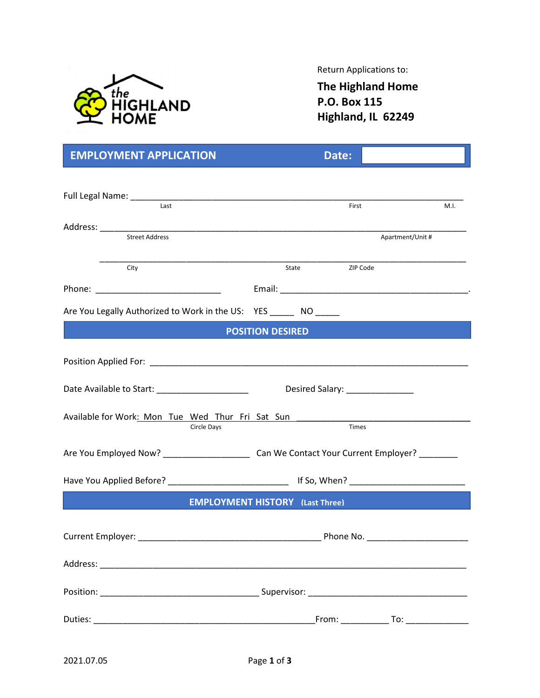

Return Applications to:

The Highland Home P.O. Box 115 Highland, IL 62249

| <b>EMPLOYMENT APPLICATION</b>                                        |                                                                                                           | Date:                           |                  |      |
|----------------------------------------------------------------------|-----------------------------------------------------------------------------------------------------------|---------------------------------|------------------|------|
|                                                                      |                                                                                                           |                                 |                  |      |
| Last                                                                 |                                                                                                           | First                           |                  | M.I. |
|                                                                      |                                                                                                           |                                 |                  |      |
|                                                                      |                                                                                                           |                                 | Apartment/Unit # |      |
| City                                                                 |                                                                                                           | State ZIP Code                  |                  |      |
|                                                                      |                                                                                                           |                                 |                  |      |
| Are You Legally Authorized to Work in the US: YES ________ NO ______ |                                                                                                           |                                 |                  |      |
|                                                                      | <b>POSITION DESIRED</b>                                                                                   |                                 |                  |      |
|                                                                      |                                                                                                           |                                 |                  |      |
|                                                                      |                                                                                                           |                                 |                  |      |
| Date Available to Start: ________________________                    |                                                                                                           | Desired Salary: _______________ |                  |      |
| Available for Work: Mon Tue Wed Thur Fri Sat Sun<br>Circle Days      |                                                                                                           | <b>Times</b>                    |                  |      |
|                                                                      | Are You Employed Now? __________________________________Can We Contact Your Current Employer? ___________ |                                 |                  |      |
|                                                                      |                                                                                                           |                                 |                  |      |
| <b>EMPLOYMENT HISTORY</b> (Last Three)                               |                                                                                                           |                                 |                  |      |
|                                                                      |                                                                                                           |                                 |                  |      |
|                                                                      |                                                                                                           |                                 |                  |      |
|                                                                      |                                                                                                           |                                 |                  |      |
|                                                                      |                                                                                                           |                                 |                  |      |
|                                                                      |                                                                                                           |                                 |                  |      |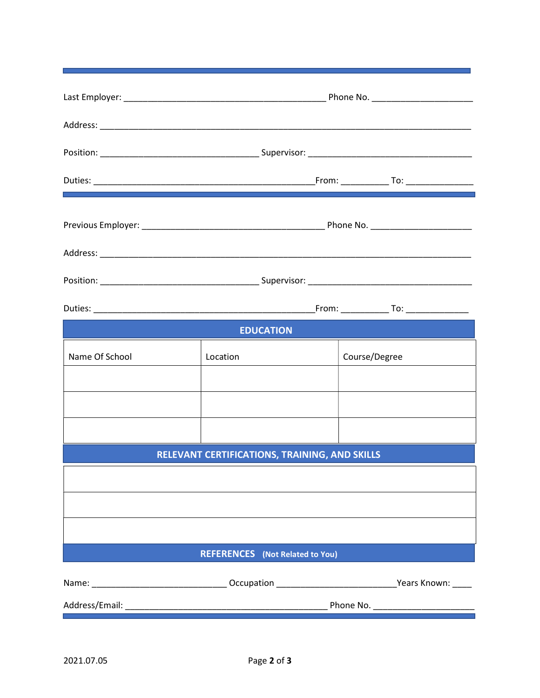| <b>EDUCATION</b> |                                               |               |  |  |  |
|------------------|-----------------------------------------------|---------------|--|--|--|
| Name Of School   | Location                                      | Course/Degree |  |  |  |
|                  |                                               |               |  |  |  |
|                  |                                               |               |  |  |  |
|                  |                                               |               |  |  |  |
|                  | RELEVANT CERTIFICATIONS, TRAINING, AND SKILLS |               |  |  |  |
|                  |                                               |               |  |  |  |
|                  |                                               |               |  |  |  |
|                  |                                               |               |  |  |  |
|                  | <b>REFERENCES</b> (Not Related to You)        |               |  |  |  |
|                  |                                               |               |  |  |  |
|                  |                                               |               |  |  |  |